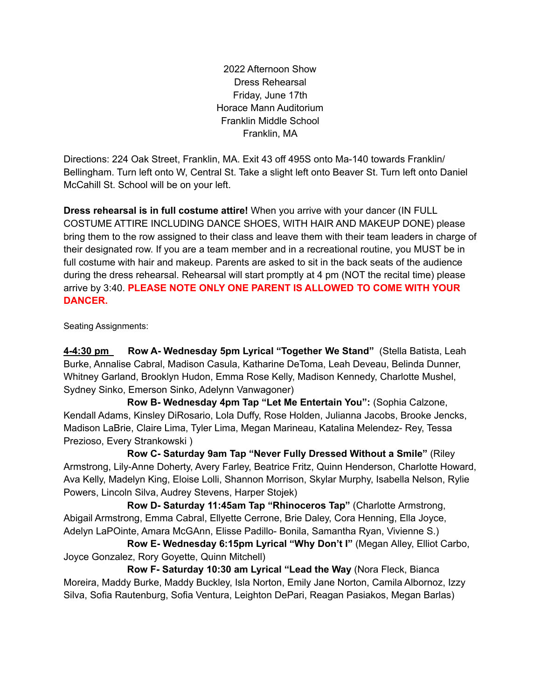2022 Afternoon Show Dress Rehearsal Friday, June 17th Horace Mann Auditorium Franklin Middle School Franklin, MA

Directions: 224 Oak Street, Franklin, MA. Exit 43 off 495S onto Ma-140 towards Franklin/ Bellingham. Turn left onto W, Central St. Take a slight left onto Beaver St. Turn left onto Daniel McCahill St. School will be on your left.

**Dress rehearsal is in full costume attire!** When you arrive with your dancer (IN FULL COSTUME ATTIRE INCLUDING DANCE SHOES, WITH HAIR AND MAKEUP DONE) please bring them to the row assigned to their class and leave them with their team leaders in charge of their designated row. If you are a team member and in a recreational routine, you MUST be in full costume with hair and makeup. Parents are asked to sit in the back seats of the audience during the dress rehearsal. Rehearsal will start promptly at 4 pm (NOT the recital time) please arrive by 3:40. **PLEASE NOTE ONLY ONE PARENT IS ALLOWED TO COME WITH YOUR DANCER.**

Seating Assignments:

**4-4:30 pm Row A- Wednesday 5pm Lyrical "Together We Stand"** (Stella Batista, Leah Burke, Annalise Cabral, Madison Casula, Katharine DeToma, Leah Deveau, Belinda Dunner, Whitney Garland, Brooklyn Hudon, Emma Rose Kelly, Madison Kennedy, Charlotte Mushel, Sydney Sinko, Emerson Sinko, Adelynn Vanwagoner)

**Row B- Wednesday 4pm Tap "Let Me Entertain You":** (Sophia Calzone, Kendall Adams, Kinsley DiRosario, Lola Duffy, Rose Holden, Julianna Jacobs, Brooke Jencks, Madison LaBrie, Claire Lima, Tyler Lima, Megan Marineau, Katalina Melendez- Rey, Tessa Prezioso, Every Strankowski )

**Row C- Saturday 9am Tap "Never Fully Dressed Without a Smile"** (Riley Armstrong, Lily-Anne Doherty, Avery Farley, Beatrice Fritz, Quinn Henderson, Charlotte Howard, Ava Kelly, Madelyn King, Eloise Lolli, Shannon Morrison, Skylar Murphy, Isabella Nelson, Rylie Powers, Lincoln Silva, Audrey Stevens, Harper Stojek)

**Row D- Saturday 11:45am Tap "Rhinoceros Tap"** (Charlotte Armstrong, Abigail Armstrong, Emma Cabral, Ellyette Cerrone, Brie Daley, Cora Henning, Ella Joyce, Adelyn LaPOinte, Amara McGAnn, Elisse Padillo- Bonila, Samantha Ryan, Vivienne S.)

**Row E- Wednesday 6:15pm Lyrical "Why Don't I"** (Megan Alley, Elliot Carbo, Joyce Gonzalez, Rory Goyette, Quinn Mitchell)

**Row F- Saturday 10:30 am Lyrical "Lead the Way** (Nora Fleck, Bianca Moreira, Maddy Burke, Maddy Buckley, Isla Norton, Emily Jane Norton, Camila Albornoz, Izzy Silva, Sofia Rautenburg, Sofia Ventura, Leighton DePari, Reagan Pasiakos, Megan Barlas)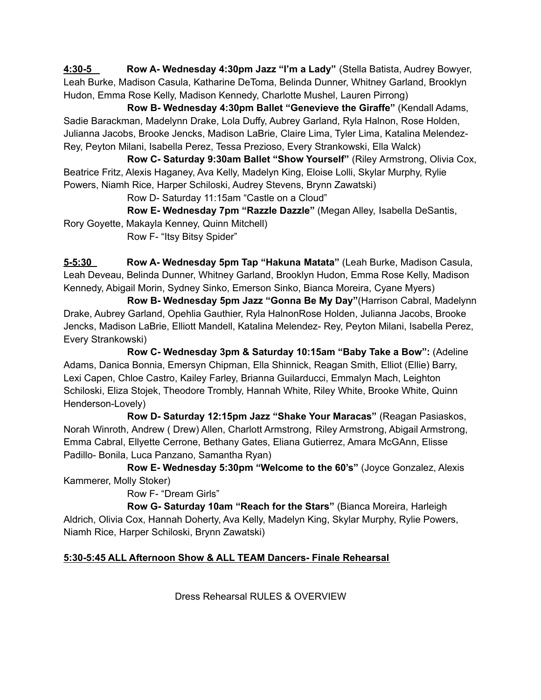**4:30-5 Row A- Wednesday 4:30pm Jazz "I'm a Lady"** (Stella Batista, Audrey Bowyer, Leah Burke, Madison Casula, Katharine DeToma, Belinda Dunner, Whitney Garland, Brooklyn Hudon, Emma Rose Kelly, Madison Kennedy, Charlotte Mushel, Lauren Pirrong)

**Row B- Wednesday 4:30pm Ballet "Genevieve the Giraffe"** (Kendall Adams, Sadie Barackman, Madelynn Drake, Lola Duffy, Aubrey Garland, Ryla Halnon, Rose Holden, Julianna Jacobs, Brooke Jencks, Madison LaBrie, Claire Lima, Tyler Lima, Katalina Melendez-Rey, Peyton Milani, Isabella Perez, Tessa Prezioso, Every Strankowski, Ella Walck)

**Row C- Saturday 9:30am Ballet "Show Yourself"** (Riley Armstrong, Olivia Cox, Beatrice Fritz, Alexis Haganey, Ava Kelly, Madelyn King, Eloise Lolli, Skylar Murphy, Rylie Powers, Niamh Rice, Harper Schiloski, Audrey Stevens, Brynn Zawatski)

Row D- Saturday 11:15am "Castle on a Cloud"

**Row E- Wednesday 7pm "Razzle Dazzle"** (Megan Alley, Isabella DeSantis, Rory Goyette, Makayla Kenney, Quinn Mitchell)

Row F- "Itsy Bitsy Spider"

**5-5:30 Row A- Wednesday 5pm Tap "Hakuna Matata"** (Leah Burke, Madison Casula, Leah Deveau, Belinda Dunner, Whitney Garland, Brooklyn Hudon, Emma Rose Kelly, Madison Kennedy, Abigail Morin, Sydney Sinko, Emerson Sinko, Bianca Moreira, Cyane Myers)

**Row B- Wednesday 5pm Jazz "Gonna Be My Day"**(Harrison Cabral, Madelynn Drake, Aubrey Garland, Opehlia Gauthier, Ryla HalnonRose Holden, Julianna Jacobs, Brooke Jencks, Madison LaBrie, Elliott Mandell, Katalina Melendez- Rey, Peyton Milani, Isabella Perez, Every Strankowski)

**Row C- Wednesday 3pm & Saturday 10:15am "Baby Take a Bow":** (Adeline Adams, Danica Bonnia, Emersyn Chipman, Ella Shinnick, Reagan Smith, Elliot (Ellie) Barry, Lexi Capen, Chloe Castro, Kailey Farley, Brianna Guilarducci, Emmalyn Mach, Leighton Schiloski, Eliza Stojek, Theodore Trombly, Hannah White, Riley White, Brooke White, Quinn Henderson-Lovely)

**Row D- Saturday 12:15pm Jazz "Shake Your Maracas"** (Reagan Pasiaskos, Norah Winroth, Andrew ( Drew) Allen, Charlott Armstrong, Riley Armstrong, Abigail Armstrong, Emma Cabral, Ellyette Cerrone, Bethany Gates, Eliana Gutierrez, Amara McGAnn, Elisse Padillo- Bonila, Luca Panzano, Samantha Ryan)

**Row E- Wednesday 5:30pm "Welcome to the 60's"** (Joyce Gonzalez, Alexis Kammerer, Molly Stoker)

Row F- "Dream Girls"

**Row G- Saturday 10am "Reach for the Stars"** (Bianca Moreira, Harleigh Aldrich, Olivia Cox, Hannah Doherty, Ava Kelly, Madelyn King, Skylar Murphy, Rylie Powers, Niamh Rice, Harper Schiloski, Brynn Zawatski)

## **5:30-5:45 ALL Afternoon Show & ALL TEAM Dancers- Finale Rehearsal**

Dress Rehearsal RULES & OVERVIEW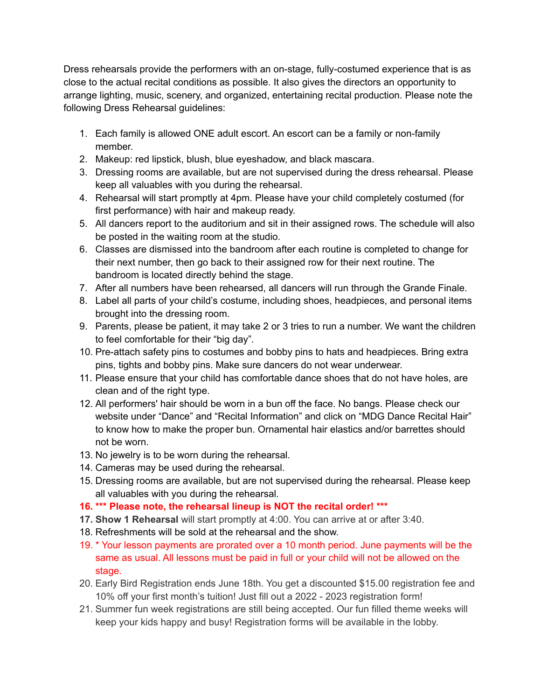Dress rehearsals provide the performers with an on-stage, fully-costumed experience that is as close to the actual recital conditions as possible. It also gives the directors an opportunity to arrange lighting, music, scenery, and organized, entertaining recital production. Please note the following Dress Rehearsal guidelines:

- 1. Each family is allowed ONE adult escort. An escort can be a family or non-family member.
- 2. Makeup: red lipstick, blush, blue eyeshadow, and black mascara.
- 3. Dressing rooms are available, but are not supervised during the dress rehearsal. Please keep all valuables with you during the rehearsal.
- 4. Rehearsal will start promptly at 4pm. Please have your child completely costumed (for first performance) with hair and makeup ready.
- 5. All dancers report to the auditorium and sit in their assigned rows. The schedule will also be posted in the waiting room at the studio.
- 6. Classes are dismissed into the bandroom after each routine is completed to change for their next number, then go back to their assigned row for their next routine. The bandroom is located directly behind the stage.
- 7. After all numbers have been rehearsed, all dancers will run through the Grande Finale.
- 8. Label all parts of your child's costume, including shoes, headpieces, and personal items brought into the dressing room.
- 9. Parents, please be patient, it may take 2 or 3 tries to run a number. We want the children to feel comfortable for their "big day".
- 10. Pre-attach safety pins to costumes and bobby pins to hats and headpieces. Bring extra pins, tights and bobby pins. Make sure dancers do not wear underwear.
- 11. Please ensure that your child has comfortable dance shoes that do not have holes, are clean and of the right type.
- 12. All performers' hair should be worn in a bun off the face. No bangs. Please check our website under "Dance" and "Recital Information" and click on "MDG Dance Recital Hair" to know how to make the proper bun. Ornamental hair elastics and/or barrettes should not be worn.
- 13. No jewelry is to be worn during the rehearsal.
- 14. Cameras may be used during the rehearsal.
- 15. Dressing rooms are available, but are not supervised during the rehearsal. Please keep all valuables with you during the rehearsal.
- **16. \*\*\* Please note, the rehearsal lineup is NOT the recital order! \*\*\***
- **17. Show 1 Rehearsal** will start promptly at 4:00. You can arrive at or after 3:40.
- 18. Refreshments will be sold at the rehearsal and the show.
- 19. \* Your lesson payments are prorated over a 10 month period. June payments will be the same as usual. All lessons must be paid in full or your child will not be allowed on the stage.
- 20. Early Bird Registration ends June 18th. You get a discounted \$15.00 registration fee and 10% off your first month's tuition! Just fill out a 2022 - 2023 registration form!
- 21. Summer fun week registrations are still being accepted. Our fun filled theme weeks will keep your kids happy and busy! Registration forms will be available in the lobby.